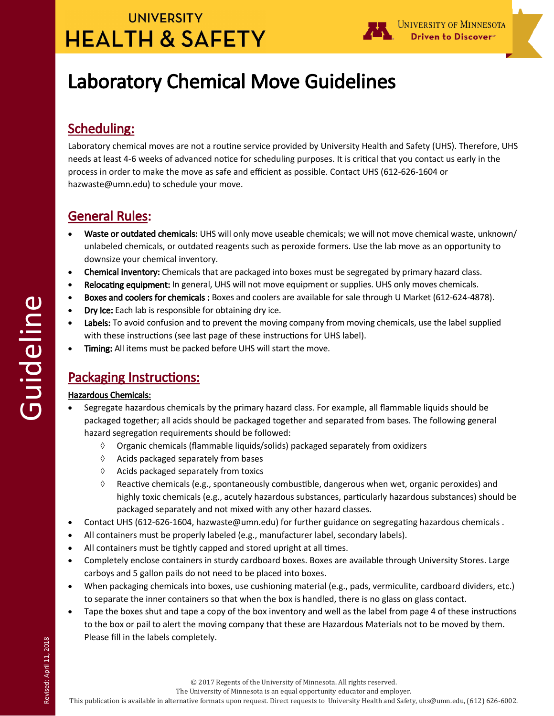# **UNIVERSITY HEALTH & SAFETY**



# Laboratory Chemical Move Guidelines

## Scheduling:

Laboratory chemical moves are not a routine service provided by University Health and Safety (UHS). Therefore, UHS needs at least 4-6 weeks of advanced notice for scheduling purposes. It is critical that you contact us early in the process in order to make the move as safe and efficient as possible. Contact UHS (612-626-1604 or hazwaste@umn.edu) to schedule your move.

## General Rules:

- Waste or outdated chemicals: UHS will only move useable chemicals; we will not move chemical waste, unknown/ unlabeled chemicals, or outdated reagents such as peroxide formers. Use the lab move as an opportunity to downsize your chemical inventory.
- Chemical inventory: Chemicals that are packaged into boxes must be segregated by primary hazard class.
- Relocating equipment: In general, UHS will not move equipment or supplies. UHS only moves chemicals.
- Boxes and coolers for chemicals : Boxes and coolers are available for sale through U Market (612-624-4878).
- Dry Ice: Each lab is responsible for obtaining dry ice.
- Labels: To avoid confusion and to prevent the moving company from moving chemicals, use the label supplied with these instructions (see last page of these instructions for UHS label).
- Timing: All items must be packed before UHS will start the move.

## Packaging Instructions:

### Hazardous Chemicals:

- Segregate hazardous chemicals by the primary hazard class. For example, all flammable liquids should be packaged together; all acids should be packaged together and separated from bases. The following general hazard segregation requirements should be followed:
	- $\Diamond$  Organic chemicals (flammable liquids/solids) packaged separately from oxidizers
	- $\Diamond$  Acids packaged separately from bases
	- $\Diamond$  Acids packaged separately from toxics
	- $\Diamond$  Reactive chemicals (e.g., spontaneously combustible, dangerous when wet, organic peroxides) and highly toxic chemicals (e.g., acutely hazardous substances, particularly hazardous substances) should be packaged separately and not mixed with any other hazard classes.
- Contact UHS (612-626-1604, hazwaste@umn.edu) for further guidance on segregating hazardous chemicals .
- All containers must be properly labeled (e.g., manufacturer label, secondary labels).
- All containers must be tightly capped and stored upright at all times.
- Completely enclose containers in sturdy cardboard boxes. Boxes are available through University Stores. Large carboys and 5 gallon pails do not need to be placed into boxes.
- When packaging chemicals into boxes, use cushioning material (e.g., pads, vermiculite, cardboard dividers, etc.) to separate the inner containers so that when the box is handled, there is no glass on glass contact.
- Tape the boxes shut and tape a copy of the box inventory and well as the label from page 4 of these instructions to the box or pail to alert the moving company that these are Hazardous Materials not to be moved by them. Please fill in the labels completely.

The University of Minnesota is an equal opportunity educator and employer.

This publication is available in alternative formats upon request. Direct requests to University Health and Safety, uhs@umn.edu, (612) 626-6002.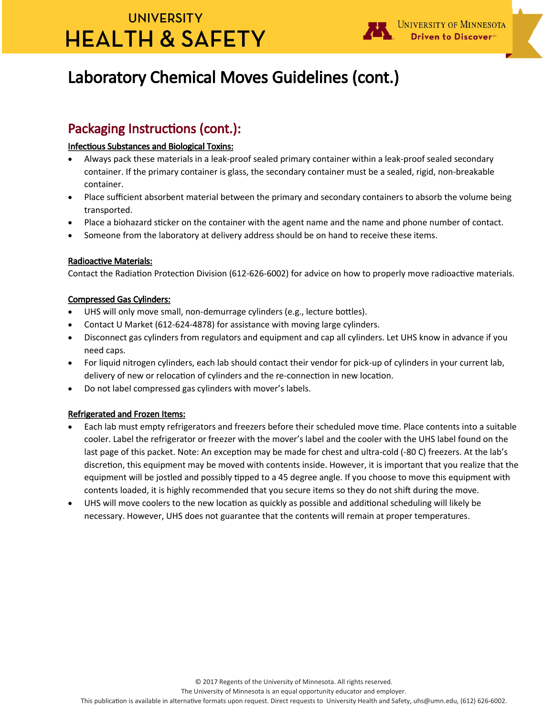# **UNIVERSITY HEALTH & SAFETY**



## Laboratory Chemical Moves Guidelines (cont.)

## Packaging Instructions (cont.):

#### Infectious Substances and Biological Toxins:

- Always pack these materials in a leak-proof sealed primary container within a leak-proof sealed secondary container. If the primary container is glass, the secondary container must be a sealed, rigid, non-breakable container.
- Place sufficient absorbent material between the primary and secondary containers to absorb the volume being transported.
- Place a biohazard sticker on the container with the agent name and the name and phone number of contact.
- Someone from the laboratory at delivery address should be on hand to receive these items.

#### Radioactive Materials:

Contact the Radiation Protection Division (612-626-6002) for advice on how to properly move radioactive materials.

#### Compressed Gas Cylinders:

- UHS will only move small, non-demurrage cylinders (e.g., lecture bottles).
- Contact U Market (612-624-4878) for assistance with moving large cylinders.
- Disconnect gas cylinders from regulators and equipment and cap all cylinders. Let UHS know in advance if you need caps.
- For liquid nitrogen cylinders, each lab should contact their vendor for pick-up of cylinders in your current lab, delivery of new or relocation of cylinders and the re-connection in new location.
- Do not label compressed gas cylinders with mover's labels.

#### Refrigerated and Frozen Items:

- Each lab must empty refrigerators and freezers before their scheduled move time. Place contents into a suitable cooler. Label the refrigerator or freezer with the mover's label and the cooler with the UHS label found on the last page of this packet. Note: An exception may be made for chest and ultra-cold (-80 C) freezers. At the lab's discretion, this equipment may be moved with contents inside. However, it is important that you realize that the equipment will be jostled and possibly tipped to a 45 degree angle. If you choose to move this equipment with contents loaded, it is highly recommended that you secure items so they do not shift during the move.
- UHS will move coolers to the new location as quickly as possible and additional scheduling will likely be necessary. However, UHS does not guarantee that the contents will remain at proper temperatures.

© 2017 Regents of the University of Minnesota. All rights reserved.

The University of Minnesota is an equal opportunity educator and employer.

This publication is available in alternative formats upon request. Direct requests to University Health and Safety, uhs@umn.edu, (612) 626-6002.